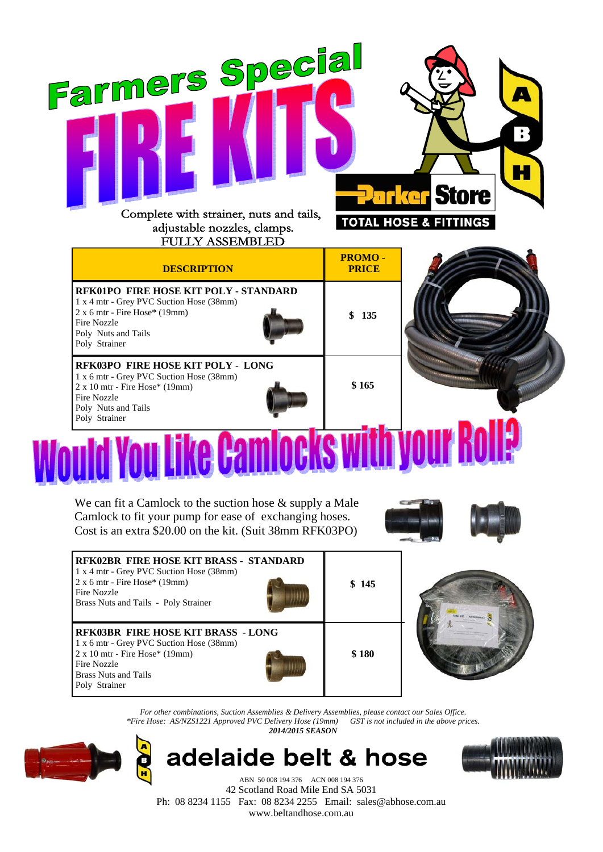| Farmers Special<br>Complete with strainer, nuts and tails,<br>adjustable nozzles, clamps.<br><b>FULLY ASSEMBLED</b>                                                                  |                               | $\mathbf{B}$<br><b>Parker Store</b><br><b>TOTAL HOSE &amp; FITTINGS</b> |
|--------------------------------------------------------------------------------------------------------------------------------------------------------------------------------------|-------------------------------|-------------------------------------------------------------------------|
| <b>DESCRIPTION</b>                                                                                                                                                                   | <b>PROMO-</b><br><b>PRICE</b> |                                                                         |
| RFK01PO FIRE HOSE KIT POLY - STANDARD<br>1 x 4 mtr - Grey PVC Suction Hose (38mm)<br>$2x 6 mtr$ - Fire Hose* (19mm)<br>Fire Nozzle<br>Poly Nuts and Tails<br>Poly Strainer           | \$<br>135                     |                                                                         |
| RFK03PO FIRE HOSE KIT POLY - LONG<br>1 x 6 mtr - Grey PVC Suction Hose (38mm)<br>$2 \times 10$ mtr - Fire Hose* (19mm)<br><b>Fire Nozzle</b><br>Poly Nuts and Tails<br>Poly Strainer | \$165                         |                                                                         |
| <b>Pire</b>                                                                                                                                                                          |                               |                                                                         |

We can fit a Camlock to the suction hose & supply a Male Camlock to fit your pump for ease of exchanging hoses. Cost is an extra \$20.00 on the kit. (Suit 38mm RFK03PO)



| <b>RFK02BR FIRE HOSE KIT BRASS - STANDARD</b><br>1 x 4 mtr - Grey PVC Suction Hose (38mm)<br>$2 x 6 mtr$ - Fire Hose* (19mm)<br>Fire Nozzle<br>Brass Nuts and Tails - Poly Strainer           | \$145 |  |
|-----------------------------------------------------------------------------------------------------------------------------------------------------------------------------------------------|-------|--|
| <b>RFK03BR FIRE HOSE KIT BRASS - LONG</b><br>1 x 6 mtr - Grey PVC Suction Hose (38mm)<br>$2 \times 10$ mtr - Fire Hose* (19mm)<br>Fire Nozzle<br><b>Brass Nuts and Tails</b><br>Poly Strainer | \$180 |  |

*For other combinations, Suction Assemblies & Delivery Assemblies, please contact our Sales Office. \*Fire Hose: AS/NZS1221 Approved PVC Delivery Hose (19mm) 2014/2015 SEASON* 



adelaide belt & hose



ABN 50 008 194 376 ACN 008 194 376 42 Scotland Road Mile End SA 5031 Ph: 08 8234 1155 Fax: 08 8234 2255 Email: sales@abhose.com.au www.beltandhose.com.au